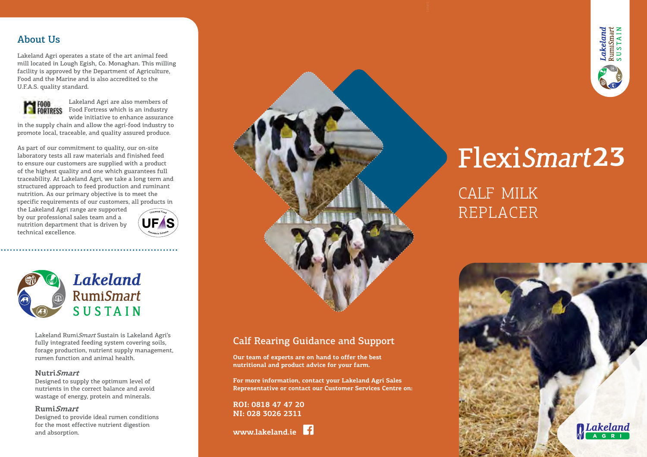## About Us

Lakeland Agri operates a state of the art animal feed mill located in Lough Egish, Co. Monaghan. This milling facility is approved by the Department of Agriculture, Food and the Marine and is also accredited to the U.F.A.S. quality standard.



Lakeland Agri are also members of Food Fortress which is an industry

wide initiative to enhance assurance in the supply chain and allow the agri-food industry to promote local, traceable, and quality assured produce.

As part of our commitment to quality, our on-site laboratory tests all raw materials and finished feed to ensure our customers are supplied with a product of the highest quality and one which guarantees full traceability. At Lakeland Agri, we take a long term and structured approach to feed production and ruminant nutrition. As our primary objective is to meet the specific requirements of our customers, all products in

the Lakeland Agri range are supported by our professional sales team and a nutrition department that is driven by technical excellence.



**Lakeland RumiSmart** SUSTAIN

Lakeland RumiSmart Sustain is Lakeland Agri's fully integrated feeding system covering soils, forage production, nutrient supply management, rumen function and animal health.

#### **NutriSmart**

Designed to supply the optimum level of nutrients in the correct balance and avoid wastage of energy, protein and minerals.

#### **RumiSmart**

Designed to provide ideal rumen conditions for the most effective nutrient digestion and absorption.



# Calf Rearing Guidance and Support

**Our team of experts are on hand to offer the best nutritional and product advice for your farm.**

**For more information, contact your Lakeland Agri Sales Representative or contact our Customer Services Centre on:** 

**ROI: 0818 47 47 20 NI: 028 3026 2311** 

**www.lakeland.ie**



# Flexi **23**

CALF MILK REPLACER